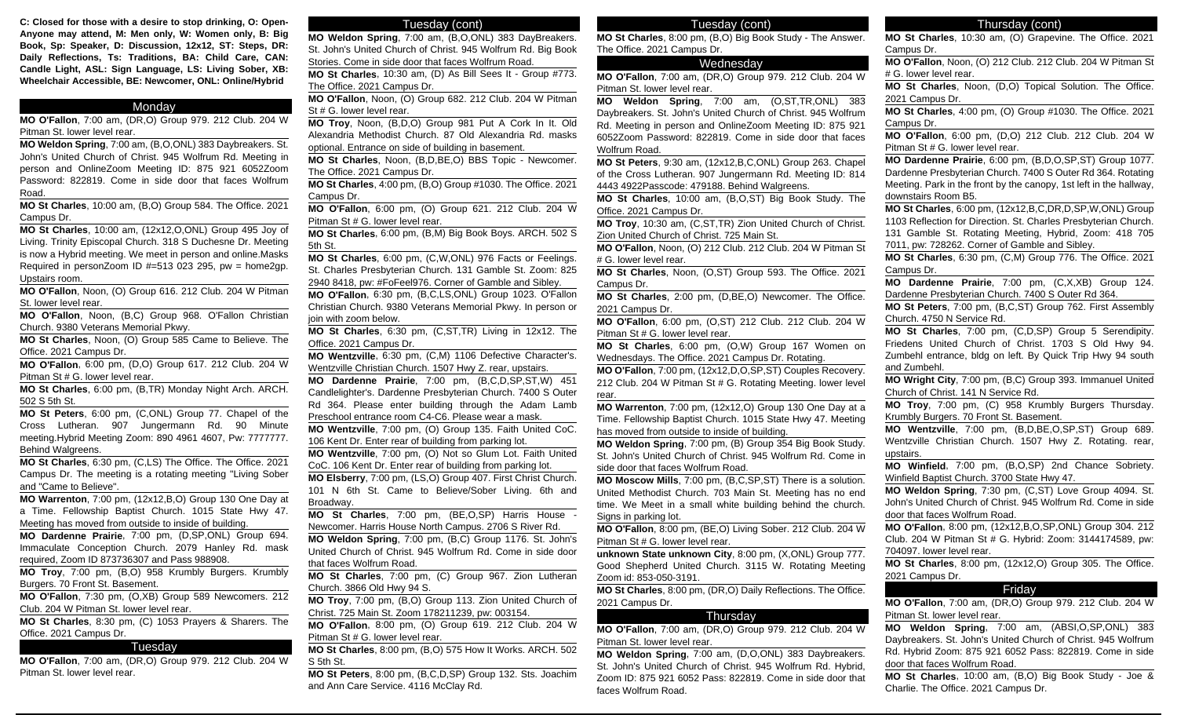**C: Closed for those with a desire to stop drinking, O: Open-Anyone may attend, M: Men only, W: Women only, B: Big Book, Sp: Speaker, D: Discussion, 12x12, ST: Steps, DR: Daily Reflections, Ts: Traditions, BA: Child Care, CAN: Candle Light, ASL: Sign Language, LS: Living Sober, XB: Wheelchair Accessible, BE: Newcomer, ONL: Online/Hybrid**

#### **Monday**

**MO O'Fallon**, 7:00 am, (DR,O) Group 979. 212 Club. 204 W Pitman St. lower level rear.

**MO Weldon Spring**, 7:00 am, (B,O,ONL) 383 Daybreakers. St. John's United Church of Christ. 945 Wolfrum Rd. Meeting in person and OnlineZoom Meeting ID: 875 921 6052Zoom Password: 822819. Come in side door that faces Wolfrum Road.

**MO St Charles**, 10:00 am, (B,O) Group 584. The Office. 2021 Campus Dr.

**MO St Charles**, 10:00 am, (12x12,O,ONL) Group 495 Joy of Living. Trinity Episcopal Church. 318 S Duchesne Dr. Meeting is now a Hybrid meeting. We meet in person and online.Masks Required in personZoom ID  $#=513$  023 295, pw = home2gp. Upstairs room.

**MO O'Fallon**, Noon, (O) Group 616. 212 Club. 204 W Pitman St. lower level rear.

**MO O'Fallon**, Noon, (B,C) Group 968. O'Fallon Christian Church. 9380 Veterans Memorial Pkwy.

**MO St Charles**, Noon, (O) Group 585 Came to Believe. The Office. 2021 Campus Dr.

**MO O'Fallon**, 6:00 pm, (D,O) Group 617. 212 Club. 204 W Pitman St # G. lower level rear.

**MO St Charles**, 6:00 pm, (B,TR) Monday Night Arch. ARCH. 502 S 5th St.

**MO St Peters**, 6:00 pm, (C,ONL) Group 77. Chapel of the Cross Lutheran. 907 Jungermann Rd. 90 Minute meeting.Hybrid Meeting Zoom: 890 4961 4607, Pw: 7777777. Behind Walgreens.

**MO St Charles**, 6:30 pm, (C,LS) The Office. The Office. 2021 Campus Dr. The meeting is a rotating meeting "Living Sober and "Came to Believe".

**MO Warrenton**, 7:00 pm, (12x12,B,O) Group 130 One Day at a Time. Fellowship Baptist Church. 1015 State Hwy 47. Meeting has moved from outside to inside of building.

**MO Dardenne Prairie**, 7:00 pm, (D,SP,ONL) Group 694. Immaculate Conception Church. 2079 Hanley Rd. mask required, Zoom ID 873736307 and Pass 988908.

**MO Troy**, 7:00 pm, (B,O) 958 Krumbly Burgers. Krumbly Burgers. 70 Front St. Basement.

**MO O'Fallon**, 7:30 pm, (O,XB) Group 589 Newcomers. 212 Club. 204 W Pitman St. lower level rear.

**MO St Charles**, 8:30 pm, (C) 1053 Prayers & Sharers. The Office. 2021 Campus Dr.

#### Tuesday

**MO O'Fallon**, 7:00 am, (DR,O) Group 979. 212 Club. 204 W Pitman St. lower level rear.

#### Tuesday (cont)

**MO Weldon Spring**, 7:00 am, (B,O,ONL) 383 DayBreakers. St. John's United Church of Christ. 945 Wolfrum Rd. Big Book Stories. Come in side door that faces Wolfrum Road.

**MO St Charles**, 10:30 am, (D) As Bill Sees It - Group #773. The Office. 2021 Campus Dr.

**MO O'Fallon**, Noon, (O) Group 682. 212 Club. 204 W Pitman St # G. lower level rear.

**MO Troy**, Noon, (B,D,O) Group 981 Put A Cork In It. Old Alexandria Methodist Church. 87 Old Alexandria Rd. masks optional. Entrance on side of building in basement.

**MO St Charles**, Noon, (B,D,BE,O) BBS Topic - Newcomer. The Office. 2021 Campus Dr.

**MO St Charles**, 4:00 pm, (B,O) Group #1030. The Office. 2021 Campus Dr.

**MO O'Fallon**, 6:00 pm, (O) Group 621. 212 Club. 204 W Pitman St # G. lower level rear.

**MO St Charles**, 6:00 pm, (B,M) Big Book Boys. ARCH. 502 S 5th St.

**MO St Charles**, 6:00 pm, (C,W,ONL) 976 Facts or Feelings. St. Charles Presbyterian Church. 131 Gamble St. Zoom: 825 2940 8418, pw: #FoFeel976. Corner of Gamble and Sibley.

**MO O'Fallon**, 6:30 pm, (B,C,LS,ONL) Group 1023. O'Fallon Christian Church. 9380 Veterans Memorial Pkwy. In person or join with zoom below.

**MO St Charles**, 6:30 pm, (C,ST,TR) Living in 12x12. The Office. 2021 Campus Dr.

**MO Wentzville**, 6:30 pm, (C,M) 1106 Defective Character's. Wentzville Christian Church. 1507 Hwy Z. rear, upstairs.

**MO Dardenne Prairie**, 7:00 pm, (B,C,D,SP,ST,W) 451 Candlelighter's. Dardenne Presbyterian Church. 7400 S Outer Rd 364. Please enter building through the Adam Lamb Preschool entrance room C4-C6. Please wear a mask.

**MO Wentzville**, 7:00 pm, (O) Group 135. Faith United CoC. 106 Kent Dr. Enter rear of building from parking lot.

**MO Wentzville**, 7:00 pm, (O) Not so Glum Lot. Faith United CoC. 106 Kent Dr. Enter rear of building from parking lot.

**MO Elsberry**, 7:00 pm, (LS,O) Group 407. First Christ Church. 101 N 6th St. Came to Believe/Sober Living. 6th and Broadway.

**MO St Charles**, 7:00 pm, (BE,O,SP) Harris House - Newcomer. Harris House North Campus. 2706 S River Rd.

**MO Weldon Spring**, 7:00 pm, (B,C) Group 1176. St. John's United Church of Christ. 945 Wolfrum Rd. Come in side door that faces Wolfrum Road.

**MO St Charles**, 7:00 pm, (C) Group 967. Zion Lutheran Church. 3866 Old Hwy 94 S.

**MO Troy**, 7:00 pm, (B,O) Group 113. Zion United Church of Christ. 725 Main St. Zoom 178211239, pw: 003154.

**MO O'Fallon**, 8:00 pm, (O) Group 619. 212 Club. 204 W Pitman St # G. lower level rear.

**MO St Charles**, 8:00 pm, (B,O) 575 How It Works. ARCH. 502 S 5th St.

**MO St Peters**, 8:00 pm, (B,C,D,SP) Group 132. Sts. Joachim and Ann Care Service. 4116 McClay Rd.

### Tuesday (cont)

**MO St Charles**, 8:00 pm, (B,O) Big Book Study - The Answer. The Office. 2021 Campus Dr.

# Wednesday

**MO O'Fallon**, 7:00 am, (DR,O) Group 979. 212 Club. 204 W Pitman St. lower level rear.

**MO Weldon Spring**, 7:00 am, (O,ST,TR,ONL) 383 Daybreakers. St. John's United Church of Christ. 945 Wolfrum Rd. Meeting in person and OnlineZoom Meeting ID: 875 921 6052Zoom Password: 822819. Come in side door that faces Wolfrum Road.

**MO St Peters**, 9:30 am, (12x12,B,C,ONL) Group 263. Chapel of the Cross Lutheran. 907 Jungermann Rd. Meeting ID: 814 4443 4922Passcode: 479188. Behind Walgreens.

**MO St Charles**, 10:00 am, (B,O,ST) Big Book Study. The Office. 2021 Campus Dr.

**MO Troy**, 10:30 am, (C,ST,TR) Zion United Church of Christ. Zion United Church of Christ. 725 Main St.

**MO O'Fallon**, Noon, (O) 212 Club. 212 Club. 204 W Pitman St # G. lower level rear.

**MO St Charles**, Noon, (O,ST) Group 593. The Office. 2021 Campus Dr.

**MO St Charles**, 2:00 pm, (D,BE,O) Newcomer. The Office. 2021 Campus Dr.

**MO O'Fallon**, 6:00 pm, (O,ST) 212 Club. 212 Club. 204 W Pitman St # G. lower level rear.

**MO St Charles**, 6:00 pm, (O,W) Group 167 Women on Wednesdays. The Office. 2021 Campus Dr. Rotating.

**MO O'Fallon**, 7:00 pm, (12x12,D,O,SP,ST) Couples Recovery. 212 Club. 204 W Pitman St # G. Rotating Meeting. lower level rear.

**MO Warrenton**, 7:00 pm, (12x12,O) Group 130 One Day at a Time. Fellowship Baptist Church. 1015 State Hwy 47. Meeting has moved from outside to inside of building.

**MO Weldon Spring**, 7:00 pm, (B) Group 354 Big Book Study. St. John's United Church of Christ. 945 Wolfrum Rd. Come in side door that faces Wolfrum Road.

**MO Moscow Mills**, 7:00 pm, (B,C,SP,ST) There is a solution. United Methodist Church. 703 Main St. Meeting has no end time. We Meet in a small white building behind the church. Signs in parking lot.

**MO O'Fallon**, 8:00 pm, (BE,O) Living Sober. 212 Club. 204 W Pitman St # G. lower level rear.

**unknown State unknown City**, 8:00 pm, (X,ONL) Group 777. Good Shepherd United Church. 3115 W. Rotating Meeting Zoom id: 853-050-3191.

**MO St Charles**, 8:00 pm, (DR,O) Daily Reflections. The Office. 2021 Campus Dr.

#### Thursday

**MO O'Fallon**, 7:00 am, (DR,O) Group 979. 212 Club. 204 W Pitman St. lower level rear.

**MO Weldon Spring**, 7:00 am, (D,O,ONL) 383 Daybreakers. St. John's United Church of Christ. 945 Wolfrum Rd. Hybrid, Zoom ID: 875 921 6052 Pass: 822819. Come in side door that faces Wolfrum Road.

# Thursday (cont)

**MO St Charles**, 10:30 am, (O) Grapevine. The Office. 2021 Campus Dr.

**MO O'Fallon**, Noon, (O) 212 Club. 212 Club. 204 W Pitman St # G. lower level rear.

**MO St Charles**, Noon, (D,O) Topical Solution. The Office. 2021 Campus Dr.

**MO St Charles**, 4:00 pm, (O) Group #1030. The Office. 2021 Campus Dr.

**MO O'Fallon**, 6:00 pm, (D,O) 212 Club. 212 Club. 204 W Pitman St # G. lower level rear.

**MO Dardenne Prairie**, 6:00 pm, (B,D,O,SP,ST) Group 1077. Dardenne Presbyterian Church. 7400 S Outer Rd 364. Rotating Meeting. Park in the front by the canopy, 1st left in the hallway, downstairs Room B5.

**MO St Charles**, 6:00 pm, (12x12,B,C,DR,D,SP,W,ONL) Group 1103 Reflection for Direction. St. Charles Presbyterian Church. 131 Gamble St. Rotating Meeting, Hybrid, Zoom: 418 705 7011, pw: 728262. Corner of Gamble and Sibley.

**MO St Charles**, 6:30 pm, (C,M) Group 776. The Office. 2021 Campus Dr.

**MO Dardenne Prairie**, 7:00 pm, (C,X,XB) Group 124. Dardenne Presbyterian Church. 7400 S Outer Rd 364.

**MO St Peters**, 7:00 pm, (B,C,ST) Group 762. First Assembly Church. 4750 N Service Rd.

**MO St Charles**, 7:00 pm, (C,D,SP) Group 5 Serendipity. Friedens United Church of Christ. 1703 S Old Hwy 94. Zumbehl entrance, bldg on left. By Quick Trip Hwy 94 south and Zumbehl.

**MO Wright City**, 7:00 pm, (B,C) Group 393. Immanuel United Church of Christ. 141 N Service Rd.

**MO Troy**, 7:00 pm, (C) 958 Krumbly Burgers Thursday. Krumbly Burgers. 70 Front St. Basement.

**MO Wentzville**, 7:00 pm, (B,D,BE,O,SP,ST) Group 689. Wentzville Christian Church. 1507 Hwy Z. Rotating. rear, upstairs.

**MO Winfield**, 7:00 pm, (B,O,SP) 2nd Chance Sobriety. Winfield Baptist Church. 3700 State Hwy 47.

**MO Weldon Spring**, 7:30 pm, (C,ST) Love Group 4094. St. John's United Church of Christ. 945 Wolfrum Rd. Come in side door that faces Wolfrum Road.

**MO O'Fallon**, 8:00 pm, (12x12,B,O,SP,ONL) Group 304. 212 Club. 204 W Pitman St # G. Hybrid: Zoom: 3144174589, pw: 704097. lower level rear.

**MO St Charles**, 8:00 pm, (12x12,O) Group 305. The Office. 2021 Campus Dr.

### Friday

**MO O'Fallon**, 7:00 am, (DR,O) Group 979. 212 Club. 204 W Pitman St. lower level rear.

**MO Weldon Spring**, 7:00 am, (ABSI,O,SP,ONL) 383 Daybreakers. St. John's United Church of Christ. 945 Wolfrum Rd. Hybrid Zoom: 875 921 6052 Pass: 822819. Come in side door that faces Wolfrum Road.

**MO St Charles**, 10:00 am, (B,O) Big Book Study - Joe & Charlie. The Office. 2021 Campus Dr.